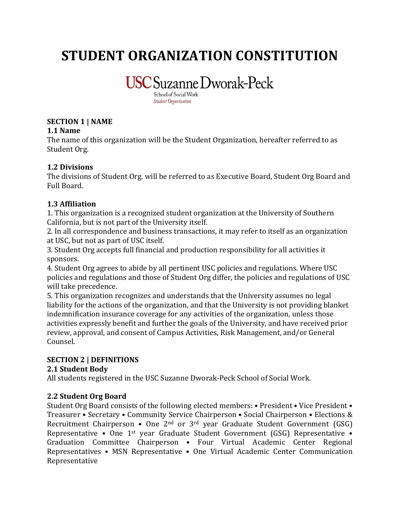# **STUDENT ORGANIZATION CONSTITUTION**

**USC** Suzanne Dworak-Peck

School of Social Work **Student Organization** 

# **SECTION 1 | NAME**

**1.1 Name**

The name of this organization will be the Student Organization, hereafter referred to as Student Org.

# **1.2 Divisions**

The divisions of Student Org. will be referred to as Executive Board, Student Org Board and Full Board.

# **1.3 Affiliation**

1. This organization is a recognized student organization at the University of Southern California, but is not part of the University itself.

2. In all correspondence and business transactions, it may refer to itself as an organization at USC, but not as part of USC itself.

3. Student Org accepts full financial and production responsibility for all activities it sponsors.

4. Student Org agrees to abide by all pertinent USC policies and regulations. Where USC policies and regulations and those of Student Org differ, the policies and regulations of USC will take precedence.

5. This organization recognizes and understands that the University assumes no legal liability for the actions of the organization, and that the University is not providing blanket indemnification insurance coverage for any activities of the organization, unless those activities expressly benefit and further the goals of the University, and have received prior review, approval, and consent of Campus Activities, Risk Management, and/or General Counsel.

# **SECTION 2 | DEFINITIONS**

# **2.1 Student Body**

All students registered in the USC Suzanne Dworak-Peck School of Social Work.

## **2.2 Student Org Board**

Student Org Board consists of the following elected members: • President • Vice President • Treasurer • Secretary • Community Service Chairperson • Social Chairperson • Elections & Recruitment Chairperson • One 2nd or 3rd year Graduate Student Government (GSG) Representative • One 1st year Graduate Student Government (GSG) Representative • Graduation Committee Chairperson • Four Virtual Academic Center Regional Representatives • MSN Representative • One Virtual Academic Center Communication Representative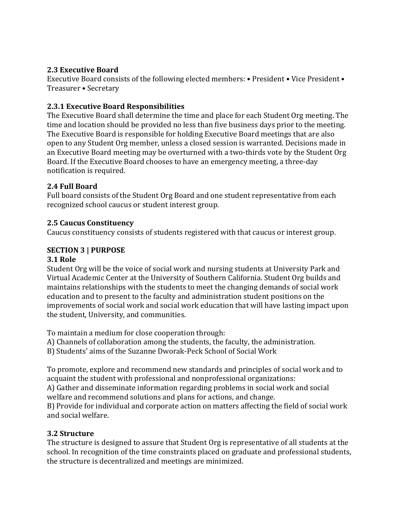## **2.3 Executive Board**

Executive Board consists of the following elected members: • President • Vice President • Treasurer • Secretary

#### **2.3.1 Executive Board Responsibilities**

The Executive Board shall determine the time and place for each Student Org meeting. The time and location should be provided no less than five business days prior to the meeting. The Executive Board is responsible for holding Executive Board meetings that are also open to any Student Org member, unless a closed session is warranted. Decisions made in an Executive Board meeting may be overturned with a two-thirds vote by the Student Org Board. If the Executive Board chooses to have an emergency meeting, a three-day notification is required.

#### **2.4 Full Board**

Full board consists of the Student Org Board and one student representative from each recognized school caucus or student interest group.

#### **2.5 Caucus Constituency**

Caucus constituency consists of students registered with that caucus or interest group.

## **SECTION 3 | PURPOSE**

#### **3.1 Role**

Student Org will be the voice of social work and nursing students at University Park and Virtual Academic Center at the University of Southern California. Student Org builds and maintains relationships with the students to meet the changing demands of social work education and to present to the faculty and administration student positions on the improvements of social work and social work education that will have lasting impact upon the student, University, and communities.

To maintain a medium for close cooperation through:

A) Channels of collaboration among the students, the faculty, the administration.

B) Students' aims of the Suzanne Dworak-Peck School of Social Work

To promote, explore and recommend new standards and principles of social work and to acquaint the student with professional and nonprofessional organizations:

A) Gather and disseminate information regarding problems in social work and social welfare and recommend solutions and plans for actions, and change.

B) Provide for individual and corporate action on matters affecting the field of social work and social welfare.

## **3.2 Structure**

The structure is designed to assure that Student Org is representative of all students at the school. In recognition of the time constraints placed on graduate and professional students, the structure is decentralized and meetings are minimized.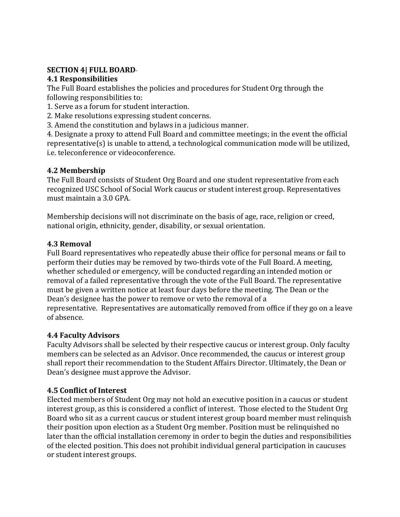#### **SECTION 4| FULL BOARD**

#### **4.1 Responsibilities**

The Full Board establishes the policies and procedures for Student Org through the following responsibilities to:

- 1. Serve as a forum for student interaction.
- 2. Make resolutions expressing student concerns.
- 3. Amend the constitution and bylaws in a judicious manner.

4. Designate a proxy to attend Full Board and committee meetings; in the event the official representative(s) is unable to attend, a technological communication mode will be utilized, i.e. teleconference or videoconference.

## **4.2 Membership**

The Full Board consists of Student Org Board and one student representative from each recognized USC School of Social Work caucus or student interest group. Representatives must maintain a 3.0 GPA.

Membership decisions will not discriminate on the basis of age, race, religion or creed, national origin, ethnicity, gender, disability, or sexual orientation.

# **4.3 Removal**

Full Board representatives who repeatedly abuse their office for personal means or fail to perform their duties may be removed by two-thirds vote of the Full Board. A meeting, whether scheduled or emergency, will be conducted regarding an intended motion or removal of a failed representative through the vote of the Full Board. The representative must be given a written notice at least four days before the meeting. The Dean or the Dean's designee has the power to remove or veto the removal of a representative. Representatives are automatically removed from office if they go on a leave of absence.

## **4.4 Faculty Advisors**

Faculty Advisors shall be selected by their respective caucus or interest group. Only faculty members can be selected as an Advisor. Once recommended, the caucus or interest group shall report their recommendation to the Student Affairs Director. Ultimately, the Dean or Dean's designee must approve the Advisor.

# **4.5 Conflict of Interest**

Elected members of Student Org may not hold an executive position in a caucus or student interest group, as this is considered a conflict of interest. Those elected to the Student Org Board who sit as a current caucus or student interest group board member must relinquish their position upon election as a Student Org member. Position must be relinquished no later than the official installation ceremony in order to begin the duties and responsibilities of the elected position. This does not prohibit individual general participation in caucuses or student interest groups.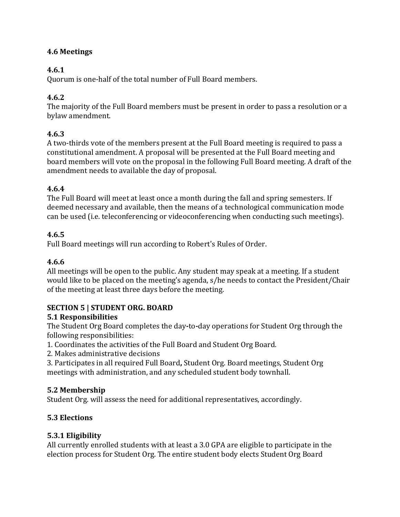# **4.6 Meetings**

# **4.6.1**

Quorum is one-half of the total number of Full Board members.

# **4.6.2**

The majority of the Full Board members must be present in order to pass a resolution or a bylaw amendment.

# **4.6.3**

A two-thirds vote of the members present at the Full Board meeting is required to pass a constitutional amendment. A proposal will be presented at the Full Board meeting and board members will vote on the proposal in the following Full Board meeting. A draft of the amendment needs to available the day of proposal.

# **4.6.4**

The Full Board will meet at least once a month during the fall and spring semesters. If deemed necessary and available, then the means of a technological communication mode can be used (i.e. teleconferencing or videoconferencing when conducting such meetings).

# **4.6.5**

Full Board meetings will run according to Robert's Rules of Order.

# **4.6.6**

All meetings will be open to the public. Any student may speak at a meeting. If a student would like to be placed on the meeting's agenda, s/he needs to contact the President/Chair of the meeting at least three days before the meeting.

## **SECTION 5 | STUDENT ORG. BOARD**

## **5.1 Responsibilities**

The Student Org Board completes the day**-**to**-**day operations for Student Org through the following responsibilities:

- 1. Coordinates the activities of the Full Board and Student Org Board.
- 2. Makes administrative decisions
- 3. Participates in all required Full Board**,** Student Org. Board meetings, Student Org meetings with administration, and any scheduled student body townhall.

# **5.2 Membership**

Student Org. will assess the need for additional representatives, accordingly.

# **5.3 Elections**

## **5.3.1 Eligibility**

All currently enrolled students with at least a 3.0 GPA are eligible to participate in the election process for Student Org. The entire student body elects Student Org Board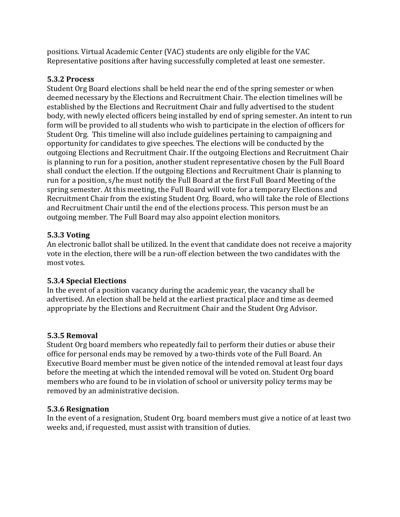positions. Virtual Academic Center (VAC) students are only eligible for the VAC Representative positions after having successfully completed at least one semester.

## **5.3.2 Process**

Student Org Board elections shall be held near the end of the spring semester or when deemed necessary by the Elections and Recruitment Chair. The election timelines will be established by the Elections and Recruitment Chair and fully advertised to the student body, with newly elected officers being installed by end of spring semester. An intent to run form will be provided to all students who wish to participate in the election of officers for Student Org. This timeline will also include guidelines pertaining to campaigning and opportunity for candidates to give speeches. The elections will be conducted by the outgoing Elections and Recruitment Chair. If the outgoing Elections and Recruitment Chair is planning to run for a position, another student representative chosen by the Full Board shall conduct the election. If the outgoing Elections and Recruitment Chair is planning to run for a position, s/he must notify the Full Board at the first Full Board Meeting of the spring semester. At this meeting, the Full Board will vote for a temporary Elections and Recruitment Chair from the existing Student Org. Board, who will take the role of Elections and Recruitment Chair until the end of the elections process. This person must be an outgoing member. The Full Board may also appoint election monitors.

## **5.3.3 Voting**

An electronic ballot shall be utilized. In the event that candidate does not receive a majority vote in the election, there will be a run-off election between the two candidates with the most votes.

# **5.3.4 Special Elections**

In the event of a position vacancy during the academic year, the vacancy shall be advertised. An election shall be held at the earliest practical place and time as deemed appropriate by the Elections and Recruitment Chair and the Student Org Advisor.

## **5.3.5 Removal**

Student Org board members who repeatedly fail to perform their duties or abuse their office for personal ends may be removed by a two-thirds vote of the Full Board. An Executive Board member must be given notice of the intended removal at least four days before the meeting at which the intended removal will be voted on. Student Org board members who are found to be in violation of school or university policy terms may be removed by an administrative decision.

## **5.3.6 Resignation**

In the event of a resignation, Student Org. board members must give a notice of at least two weeks and, if requested, must assist with transition of duties.